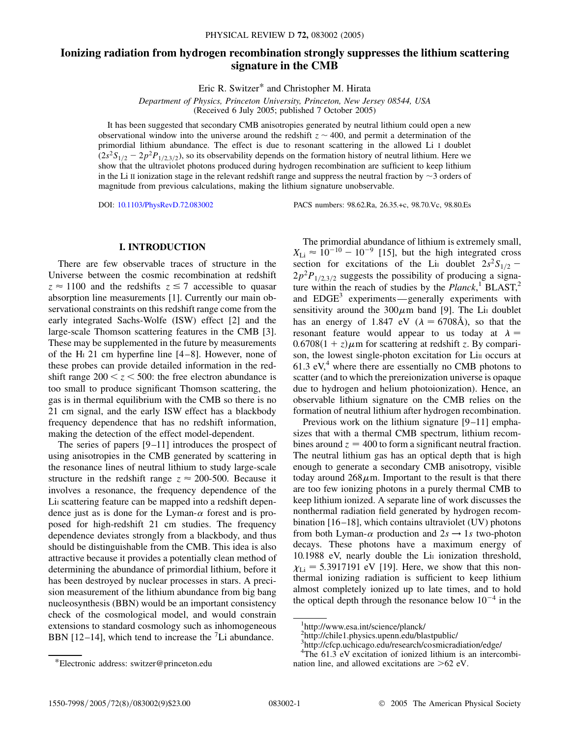# **Ionizing radiation from hydrogen recombination strongly suppresses the lithium scattering signature in the CMB**

Eric R. Switzer\* and Christopher M. Hirata

*Department of Physics, Princeton University, Princeton, New Jersey 08544, USA* (Received 6 July 2005; published 7 October 2005)

It has been suggested that secondary CMB anisotropies generated by neutral lithium could open a new observational window into the universe around the redshift  $z \sim 400$ , and permit a determination of the primordial lithium abundance. The effect is due to resonant scattering in the allowed Li I doublet  $(2s^2S_{1/2} - 2p^2P_{1/2,3/2})$ , so its observability depends on the formation history of neutral lithium. Here we show that the ultraviolet photons produced during hydrogen recombination are sufficient to keep lithium in the Li II ionization stage in the relevant redshift range and suppress the neutral fraction by  $\sim$ 3 orders of magnitude from previous calculations, making the lithium signature unobservable.

DOI: [10.1103/PhysRevD.72.083002](http://dx.doi.org/10.1103/PhysRevD.72.083002) PACS numbers: 98.62.Ra, 26.35.+c, 98.70.Vc, 98.80.Es

## **I. INTRODUCTION**

There are few observable traces of structure in the Universe between the cosmic recombination at redshift  $z \approx 1100$  and the redshifts  $z \le 7$  accessible to quasar absorption line measurements [1]. Currently our main observational constraints on this redshift range come from the early integrated Sachs-Wolfe (ISW) effect [2] and the large-scale Thomson scattering features in the CMB [3]. These may be supplemented in the future by measurements of the H<sub>I</sub> 21 cm hyperfine line  $[4-8]$ . However, none of these probes can provide detailed information in the redshift range  $200 < z < 500$ : the free electron abundance is too small to produce significant Thomson scattering, the gas is in thermal equilibrium with the CMB so there is no 21 cm signal, and the early ISW effect has a blackbody frequency dependence that has no redshift information, making the detection of the effect model-dependent.

The series of papers [9–11] introduces the prospect of using anisotropies in the CMB generated by scattering in the resonance lines of neutral lithium to study large-scale structure in the redshift range  $z \approx 200-500$ . Because it involves a resonance, the frequency dependence of the Li<sub>I</sub> scattering feature can be mapped into a redshift dependence just as is done for the Lyman- $\alpha$  forest and is proposed for high-redshift 21 cm studies. The frequency dependence deviates strongly from a blackbody, and thus should be distinguishable from the CMB. This idea is also attractive because it provides a potentially clean method of determining the abundance of primordial lithium, before it has been destroyed by nuclear processes in stars. A precision measurement of the lithium abundance from big bang nucleosynthesis (BBN) would be an important consistency check of the cosmological model, and would constrain extensions to standard cosmology such as inhomogeneous BBN [12-14], which tend to increase the  $\textsuperscript{7}$ Li abundance.

The primordial abundance of lithium is extremely small,  $X_{\text{Li}} \approx 10^{-10} - 10^{-9}$  [15], but the high integrated cross section for excitations of the Li<sub>I</sub> doublet  $2s^2S_{1/2}$  - $2p^2P_{1/2,3/2}$  suggests the possibility of producing a signature within the reach of studies by the  $Planck$ ,<sup>1</sup> BLAST,<sup>2</sup> and  $EDGE<sup>3</sup>$  experiments—generally experiments with sensitivity around the  $300\mu$ m band [9]. The Li<sub>I</sub> doublet has an energy of 1.847 eV ( $\lambda = 6708\text{\AA}$ ), so that the resonant feature would appear to us today at  $\lambda =$  $0.6708(1 + z)\mu$ m for scattering at redshift *z*. By comparison, the lowest single-photon excitation for Lin occurs at 61.3 eV, $4^4$  where there are essentially no CMB photons to scatter (and to which the prereionization universe is opaque due to hydrogen and helium photoionization). Hence, an observable lithium signature on the CMB relies on the formation of neutral lithium after hydrogen recombination.

Previous work on the lithium signature [9–11] emphasizes that with a thermal CMB spectrum, lithium recombines around  $z = 400$  to form a significant neutral fraction. The neutral lithium gas has an optical depth that is high enough to generate a secondary CMB anisotropy, visible today around  $268\mu$ m. Important to the result is that there are too few ionizing photons in a purely thermal CMB to keep lithium ionized. A separate line of work discusses the nonthermal radiation field generated by hydrogen recombination [16–18], which contains ultraviolet (UV) photons from both Lyman- $\alpha$  production and  $2s \rightarrow 1s$  two-photon decays. These photons have a maximum energy of 10.1988 eV, nearly double the Lir ionization threshold,  $\chi_{\text{Li}}$  = 5.3917191 eV [19]. Here, we show that this nonthermal ionizing radiation is sufficient to keep lithium almost completely ionized up to late times, and to hold the optical depth through the resonance below  $10^{-4}$  in the

<sup>\*</sup>Electronic address: switzer@princeton.edu

<sup>1</sup> http://www.esa.int/science/planck/

<sup>2</sup> http://chile1.physics.upenn.edu/blastpublic/

<sup>3</sup> http://cfcp.uchicago.edu/research/cosmicradiation/edge/

<sup>&</sup>lt;sup>4</sup>The 61.3 eV excitation of ionized lithium is an intercombination line, and allowed excitations are *>*62 eV.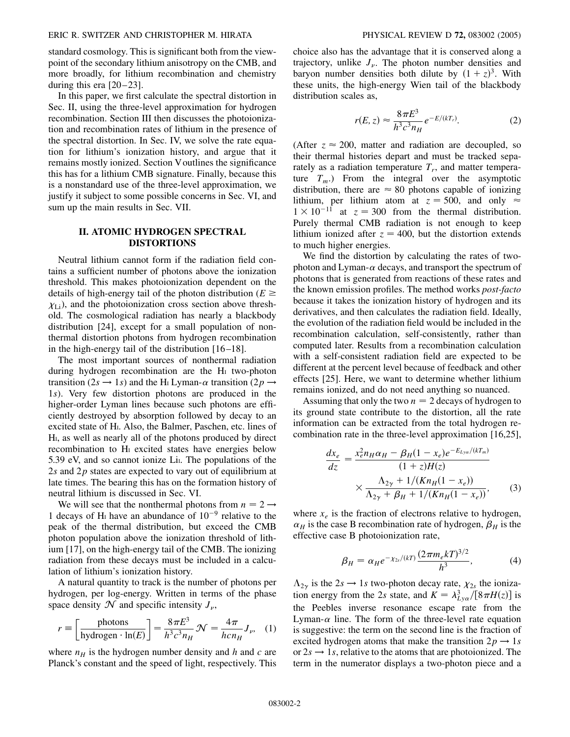#### ERIC R. SWITZER AND CHRISTOPHER M. HIRATA PHYSICAL REVIEW D **72,** 083002 (2005)

standard cosmology. This is significant both from the viewpoint of the secondary lithium anisotropy on the CMB, and more broadly, for lithium recombination and chemistry during this era  $[20-23]$ .

In this paper, we first calculate the spectral distortion in Sec. II, using the three-level approximation for hydrogen recombination. Section III then discusses the photoionization and recombination rates of lithium in the presence of the spectral distortion. In Sec. IV, we solve the rate equation for lithium's ionization history, and argue that it remains mostly ionized. Section Voutlines the significance this has for a lithium CMB signature. Finally, because this is a nonstandard use of the three-level approximation, we justify it subject to some possible concerns in Sec. VI, and sum up the main results in Sec. VII.

# **II. ATOMIC HYDROGEN SPECTRAL DISTORTIONS**

Neutral lithium cannot form if the radiation field contains a sufficient number of photons above the ionization threshold. This makes photoionization dependent on the details of high-energy tail of the photon distribution  $(E \geq$  $\chi_{\text{Li}}$ ), and the photoionization cross section above threshold. The cosmological radiation has nearly a blackbody distribution [24], except for a small population of nonthermal distortion photons from hydrogen recombination in the high-energy tail of the distribution  $[16-18]$ .

The most important sources of nonthermal radiation during hydrogen recombination are the HI two-photon transition (2*s*  $\rightarrow$  1*s*) and the H<sub>I</sub> Lyman- $\alpha$  transition (2*p*  $\rightarrow$ 1*s*). Very few distortion photons are produced in the higher-order Lyman lines because such photons are efficiently destroyed by absorption followed by decay to an excited state of HI. Also, the Balmer, Paschen, etc. lines of HI, as well as nearly all of the photons produced by direct recombination to H<sub>I</sub> excited states have energies below 5.39 eV, and so cannot ionize Li<sub>I</sub>. The populations of the 2*s* and 2*p* states are expected to vary out of equilibrium at late times. The bearing this has on the formation history of neutral lithium is discussed in Sec. VI.

We will see that the nonthermal photons from  $n = 2 \rightarrow$ 1 decays of H<sub>I</sub> have an abundance of  $10^{-9}$  relative to the peak of the thermal distribution, but exceed the CMB photon population above the ionization threshold of lithium [17], on the high-energy tail of the CMB. The ionizing radiation from these decays must be included in a calculation of lithium's ionization history.

A natural quantity to track is the number of photons per hydrogen, per log-energy. Written in terms of the phase space density  $\mathcal N$  and specific intensity  $J_{\nu}$ ,

$$
r \equiv \left[\frac{\text{photons}}{\text{hydrogen} \cdot \text{ln}(E)}\right] = \frac{8\pi E^3}{h^3 c^3 n_H} \mathcal{N} = \frac{4\pi}{h c n_H} J_{\nu}, \quad (1)
$$

where  $n_H$  is the hydrogen number density and *h* and *c* are Planck's constant and the speed of light, respectively. This choice also has the advantage that it is conserved along a trajectory, unlike  $J_{\nu}$ . The photon number densities and baryon number densities both dilute by  $(1 + z)^3$ . With these units, the high-energy Wien tail of the blackbody distribution scales as,

$$
r(E, z) \approx \frac{8\pi E^3}{h^3 c^3 n_H} e^{-E/(kT_r)}.
$$
 (2)

(After  $z \approx 200$ , matter and radiation are decoupled, so their thermal histories depart and must be tracked separately as a radiation temperature  $T_r$ , and matter temperature  $T_m$ .) From the integral over the asymptotic distribution, there are  $\approx 80$  photons capable of ionizing lithium, per lithium atom at  $z = 500$ , and only  $\approx$  $1 \times 10^{-11}$  at  $z = 300$  from the thermal distribution. Purely thermal CMB radiation is not enough to keep lithium ionized after  $z = 400$ , but the distortion extends to much higher energies.

We find the distortion by calculating the rates of twophoton and Lyman- $\alpha$  decays, and transport the spectrum of photons that is generated from reactions of these rates and the known emission profiles. The method works *post-facto* because it takes the ionization history of hydrogen and its derivatives, and then calculates the radiation field. Ideally, the evolution of the radiation field would be included in the recombination calculation, self-consistently, rather than computed later. Results from a recombination calculation with a self-consistent radiation field are expected to be different at the percent level because of feedback and other effects [25]. Here, we want to determine whether lithium remains ionized, and do not need anything so nuanced.

Assuming that only the two  $n = 2$  decays of hydrogen to its ground state contribute to the distortion, all the rate information can be extracted from the total hydrogen recombination rate in the three-level approximation [16,25],

$$
\frac{dx_e}{dz} = \frac{x_e^2 n_H \alpha_H - \beta_H (1 - x_e) e^{-E_{Ly\alpha}/(kT_m)}}{(1 + z)H(z)}
$$

$$
\times \frac{\Lambda_{2\gamma} + 1/(Kn_H(1 - x_e))}{\Lambda_{2\gamma} + \beta_H + 1/(Kn_H(1 - x_e))},
$$
(3)

where  $x_e$  is the fraction of electrons relative to hydrogen,  $\alpha_H$  is the case B recombination rate of hydrogen,  $\beta_H$  is the effective case B photoionization rate,

$$
\beta_H = \alpha_H e^{-\chi_{2s}/(kT)} \frac{(2\pi m_e kT)^{3/2}}{h^3},\tag{4}
$$

 $\Lambda_{2\gamma}$  is the 2*s*  $\rightarrow$  1*s* two-photon decay rate,  $\chi_{2s}$  the ionization energy from the 2*s* state, and  $K = \lambda_{Ly\alpha}^3/[8\pi H(z)]$  is the Peebles inverse resonance escape rate from the Lyman- $\alpha$  line. The form of the three-level rate equation is suggestive: the term on the second line is the fraction of excited hydrogen atoms that make the transition  $2p \rightarrow 1s$ or  $2s \rightarrow 1s$ , relative to the atoms that are photoionized. The term in the numerator displays a two-photon piece and a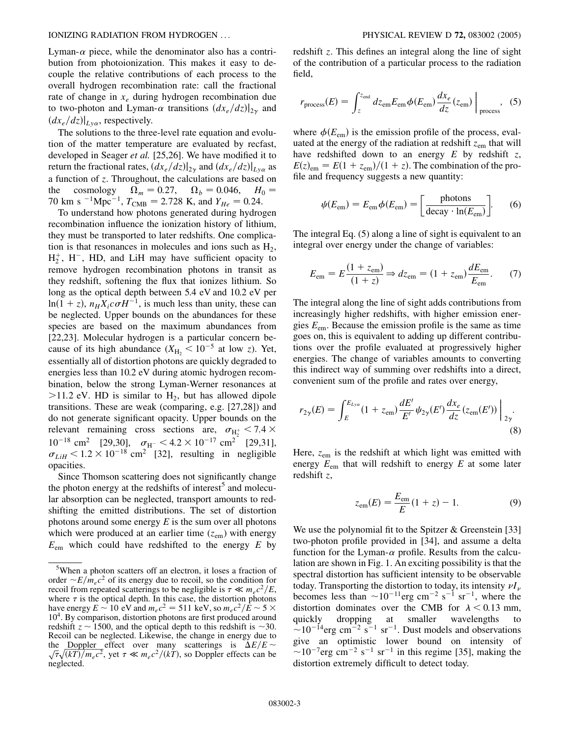Lyman- $\alpha$  piece, while the denominator also has a contribution from photoionization. This makes it easy to decouple the relative contributions of each process to the overall hydrogen recombination rate: call the fractional rate of change in *xe* during hydrogen recombination due to two-photon and Lyman- $\alpha$  transitions  $\left. \left( dx_e/dz \right) \right|_{2\gamma}$  and  $\left(dx_e/dz\right)|_{L^{\gamma}\alpha}$ , respectively.

The solutions to the three-level rate equation and evolution of the matter temperature are evaluated by recfast, developed in Seager *et al.* [25,26]. We have modified it to return the fractional rates,  $\left(dx_e/dz\right)|_{2\gamma}$  and  $\left(dx_e/dz\right)|_{L_y\alpha}$  as a function of *z*. Throughout, the calculations are based on the cosmology  $\Omega_m = 0.27$ ,  $\Omega_b = 0.046$ ,  $H_0 =$ 70 km s <sup>-1</sup>Mpc<sup>-1</sup>,  $T_{\text{CMB}} = 2.728$  K, and  $Y_{He} = 0.24$ .

To understand how photons generated during hydrogen recombination influence the ionization history of lithium, they must be transported to later redshifts. One complication is that resonances in molecules and ions such as  $H_2$ ,  $H_2^+$ ,  $H^-$ , HD, and LiH may have sufficient opacity to remove hydrogen recombination photons in transit as they redshift, softening the flux that ionizes lithium. So long as the optical depth between 5.4 eV and 10.2 eV per  $\ln(1 + z)$ ,  $n_H X_i c \sigma H^{-1}$ , is much less than unity, these can be neglected. Upper bounds on the abundances for these species are based on the maximum abundances from [22,23]. Molecular hydrogen is a particular concern because of its high abundance  $(X_{H_2} < 10^{-5}$  at low *z*). Yet, essentially all of distortion photons are quickly degraded to energies less than 10.2 eV during atomic hydrogen recombination, below the strong Lyman-Werner resonances at  $>$ 11.2 eV. HD is similar to H<sub>2</sub>, but has allowed dipole transitions. These are weak (comparing, e.g. [27,28]) and do not generate significant opacity. Upper bounds on the relevant remaining cross sections are,  $\sigma_{\text{H}_2^+}$  < 7.4  $\times$  $10^{-18}$  cm<sup>2</sup> [29,30],  $\sigma_{\text{H}^-}$  < 4.2 ×  $10^{-17}$  cm<sup>2</sup> [29,31],  $\sigma_{LiH}$  < 1.2 × 10<sup>-18</sup> cm<sup>2</sup> [32], resulting in negligible opacities.

Since Thomson scattering does not significantly change the photon energy at the redshifts of interest<sup>5</sup> and molecular absorption can be neglected, transport amounts to redshifting the emitted distributions. The set of distortion photons around some energy *E* is the sum over all photons which were produced at an earlier time  $(z_{em})$  with energy  $E_{\text{em}}$  which could have redshifted to the energy *E* by redshift *z*. This defines an integral along the line of sight of the contribution of a particular process to the radiation field,

$$
r_{\text{process}}(E) = \int_{z}^{z_{\text{end}}} dz_{\text{em}} E_{\text{em}} \phi(E_{\text{em}}) \frac{dx_e}{dz}(z_{\text{em}}) \Big|_{\text{process}}, \quad (5)
$$

where  $\phi(E_{em})$  is the emission profile of the process, evaluated at the energy of the radiation at redshift  $z_{\rm em}$  that will have redshifted down to an energy *E* by redshift *z*,  $E(z)_{\text{em}} = E(1 + z_{\text{em}})/(1 + z)$ . The combination of the profile and frequency suggests a new quantity:

$$
\psi(E_{\rm em}) = E_{\rm em} \phi(E_{\rm em}) = \left[ \frac{\text{photons}}{\text{decay} \cdot \ln(E_{\rm em})} \right].
$$
 (6)

The integral Eq. (5) along a line of sight is equivalent to an integral over energy under the change of variables:

$$
E_{\rm em} = E \frac{(1 + z_{\rm em})}{(1 + z)} \Rightarrow dz_{\rm em} = (1 + z_{\rm em}) \frac{dE_{\rm em}}{E_{\rm em}}.\tag{7}
$$

The integral along the line of sight adds contributions from increasingly higher redshifts, with higher emission energies *E*em. Because the emission profile is the same as time goes on, this is equivalent to adding up different contributions over the profile evaluated at progressively higher energies. The change of variables amounts to converting this indirect way of summing over redshifts into a direct, convenient sum of the profile and rates over energy,

$$
r_{2\gamma}(E) = \int_{E}^{E_{Ly\alpha}} (1 + z_{\rm em}) \frac{dE'}{E'} \psi_{2\gamma}(E') \frac{dx_e}{dz} (z_{\rm em}(E')) \Big|_{2\gamma}.
$$
\n(8)

Here,  $z_{\rm em}$  is the redshift at which light was emitted with energy  $E_{\text{em}}$  that will redshift to energy  $E$  at some later redshift *z*,

$$
z_{\rm em}(E) = \frac{E_{\rm em}}{E} (1 + z) - 1.
$$
 (9)

We use the polynomial fit to the Spitzer & Greenstein [33] two-photon profile provided in [34], and assume a delta function for the Lyman- $\alpha$  profile. Results from the calculation are shown in Fig. 1. An exciting possibility is that the spectral distortion has sufficient intensity to be observable today. Transporting the distortion to today, its intensity  $\nu I_{\nu}$ becomes less than  $\sim 10^{-11}$ erg cm<sup>-2</sup> s<sup>-1</sup> sr<sup>-1</sup>, where the distortion dominates over the CMB for  $\lambda < 0.13$  mm, quickly dropping at smaller wavelengths to  $\sim 10^{-14}$ erg cm<sup>-2</sup> s<sup>-1</sup> sr<sup>-1</sup>. Dust models and observations give an optimistic lower bound on intensity of  $\sim$ 10<sup>-7</sup>erg cm<sup>-2</sup> s<sup>-1</sup> sr<sup>-1</sup> in this regime [35], making the distortion extremely difficult to detect today.

<sup>&</sup>lt;sup>5</sup>When a photon scatters off an electron, it loses a fraction of order  $\sim E/m_e c^2$  of its energy due to recoil, so the condition for recoil from repeated scatterings to be negligible is  $\tau \ll m_e c^2/E$ , where  $\tau$  is the optical depth. In this case, the distortion photons have energy  $E \sim 10 \text{ eV}$  and  $m_e c^2 = 511 \text{ keV}$ , so  $m_e c^2/\hat{E} \sim 5 \times$ 10<sup>4</sup>. By comparison, distortion photons are first produced around redshift  $z \sim 1500$ , and the optical depth to this redshift is  $\sim 30$ . Recoil can be neglected. Likewise, the change in energy due to the Doppler effect over many scatterings is  $\Delta E/E \sim$ the <u>Doppler</u> effect over many scatterings is  $\Delta E/E \sim \sqrt{\tau} \sqrt{(kT)/m_e c^2}$ , yet  $\tau \ll m_e c^2/(kT)$ , so Doppler effects can be neglected.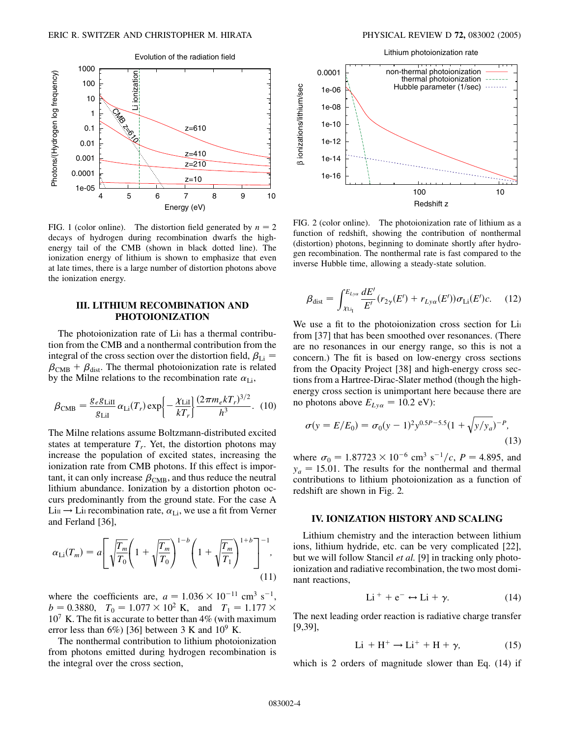

FIG. 1 (color online). The distortion field generated by  $n = 2$ decays of hydrogen during recombination dwarfs the highenergy tail of the CMB (shown in black dotted line). The ionization energy of lithium is shown to emphasize that even at late times, there is a large number of distortion photons above the ionization energy.

# **III. LITHIUM RECOMBINATION AND PHOTOIONIZATION**

The photoionization rate of Li<sub>I</sub> has a thermal contribution from the CMB and a nonthermal contribution from the integral of the cross section over the distortion field,  $\beta_{Li}$  =  $\beta_{\text{CMB}} + \beta_{\text{dist}}$ . The thermal photoionization rate is related by the Milne relations to the recombination rate  $\alpha_{Li}$ ,

$$
\beta_{\rm CMB} = \frac{g_e g_{\rm Lill}}{g_{\rm Lil}} \alpha_{\rm Li}(T_r) \exp\left\{-\frac{\chi_{\rm Lil}}{kT_r}\right\} \frac{(2\pi m_e k T_r)^{3/2}}{h^3}.
$$
 (10)

The Milne relations assume Boltzmann-distributed excited states at temperature  $T_r$ . Yet, the distortion photons may increase the population of excited states, increasing the ionization rate from CMB photons. If this effect is important, it can only increase  $\beta_{\text{CMB}}$ , and thus reduce the neutral lithium abundance. Ionization by a distortion photon occurs predominantly from the ground state. For the case A  $\text{Lin} \rightarrow \text{Li}$  recombination rate,  $\alpha_{\text{Li}}$ , we use a fit from Verner and Ferland [36],

$$
\alpha_{\text{Li}}(T_m) = a \left[ \sqrt{\frac{T_m}{T_0}} \left( 1 + \sqrt{\frac{T_m}{T_0}} \right)^{1-b} \left( 1 + \sqrt{\frac{T_m}{T_1}} \right)^{1+b} \right]^{-1}, \tag{11}
$$

where the coefficients are,  $a = 1.036 \times 10^{-11}$  cm<sup>3</sup> s<sup>-1</sup>,  $b = 0.3880$ ,  $T_0 = 1.077 \times 10^2$  K, and  $T_1 = 1.177 \times$  $10^7$  K. The fit is accurate to better than 4% (with maximum error less than 6%) [36] between 3 K and  $10^9$  K.

The nonthermal contribution to lithium photoionization from photons emitted during hydrogen recombination is the integral over the cross section,

Lithium photoionization rate



FIG. 2 (color online). The photoionization rate of lithium as a function of redshift, showing the contribution of nonthermal (distortion) photons, beginning to dominate shortly after hydrogen recombination. The nonthermal rate is fast compared to the inverse Hubble time, allowing a steady-state solution.

$$
\beta_{\text{dist}} = \int_{\chi_{\text{Li}_1}}^{E_{Lya}} \frac{dE'}{E'} (r_{2\gamma}(E') + r_{Lya}(E')) \sigma_{\text{Li}}(E') c. \quad (12)
$$

We use a fit to the photoionization cross section for Lin from [37] that has been smoothed over resonances. (There are no resonances in our energy range, so this is not a concern.) The fit is based on low-energy cross sections from the Opacity Project [38] and high-energy cross sections from a Hartree-Dirac-Slater method (though the highenergy cross section is unimportant here because there are no photons above  $E_{Ly\alpha} = 10.2 \text{ eV}$ :

$$
\sigma(y = E/E_0) = \sigma_0(y - 1)^2 y^{0.5P - 5.5} (1 + \sqrt{y/y_a})^{-P},
$$
\n(13)

where  $\sigma_0 = 1.87723 \times 10^{-6}$  cm<sup>3</sup> s<sup>-1</sup>/c, *P* = 4.895, and  $y_a = 15.01$ . The results for the nonthermal and thermal contributions to lithium photoionization as a function of redshift are shown in Fig. 2.

## **IV. IONIZATION HISTORY AND SCALING**

Lithium chemistry and the interaction between lithium ions, lithium hydride, etc. can be very complicated [22], but we will follow Stancil *et al.* [9] in tracking only photoionization and radiative recombination, the two most dominant reactions,

$$
Li^{+} + e^{-} \leftrightarrow Li + \gamma. \tag{14}
$$

The next leading order reaction is radiative charge transfer [9,39],

$$
Li + H^{+} \rightarrow Li^{+} + H + \gamma,
$$
 (15)

which is 2 orders of magnitude slower than Eq. (14) if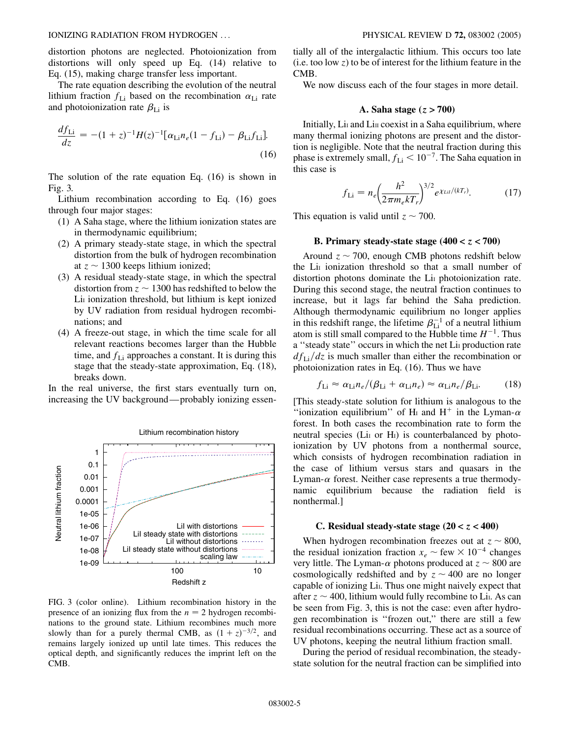distortion photons are neglected. Photoionization from distortions will only speed up Eq. (14) relative to Eq. (15), making charge transfer less important.

The rate equation describing the evolution of the neutral lithium fraction  $f_{\text{Li}}$  based on the recombination  $\alpha_{\text{Li}}$  rate and photoionization rate  $\beta_{\text{Li}}$  is

$$
\frac{df_{\rm Li}}{dz} = -(1+z)^{-1}H(z)^{-1}[\alpha_{\rm Li}n_e(1-f_{\rm Li}) - \beta_{\rm Li}f_{\rm Li}].
$$
\n(16)

The solution of the rate equation Eq. (16) is shown in Fig. 3.

Lithium recombination according to Eq. (16) goes through four major stages:

- (1) A Saha stage, where the lithium ionization states are in thermodynamic equilibrium;
- (2) A primary steady-state stage, in which the spectral distortion from the bulk of hydrogen recombination at  $z \sim 1300$  keeps lithium ionized;
- (3) A residual steady-state stage, in which the spectral distortion from  $z \sim 1300$  has redshifted to below the Li<sub>I</sub> ionization threshold, but lithium is kept ionized by UV radiation from residual hydrogen recombinations; and
- (4) A freeze-out stage, in which the time scale for all relevant reactions becomes larger than the Hubble time, and  $f_{Li}$  approaches a constant. It is during this stage that the steady-state approximation, Eq. (18), breaks down.

In the real universe, the first stars eventually turn on, increasing the UV background—probably ionizing essen-



FIG. 3 (color online). Lithium recombination history in the presence of an ionizing flux from the  $n = 2$  hydrogen recombinations to the ground state. Lithium recombines much more slowly than for a purely thermal CMB, as  $(1 + z)^{-3/2}$ , and remains largely ionized up until late times. This reduces the optical depth, and significantly reduces the imprint left on the CMB.

tially all of the intergalactic lithium. This occurs too late (i.e. too low *z*) to be of interest for the lithium feature in the CMB.

We now discuss each of the four stages in more detail.

#### **A. Saha stage (***z >* **700)**

Initially, Li<sub>I</sub> and L<sub>III</sub> coexist in a Saha equilibrium, where many thermal ionizing photons are present and the distortion is negligible. Note that the neutral fraction during this phase is extremely small,  $f_{Li}$   $< 10^{-7}$ . The Saha equation in this case is

$$
f_{\rm Li} = n_e \left(\frac{h^2}{2\pi m_e k T_r}\right)^{3/2} e^{\chi_{\rm LiI}/(kT_r)}.
$$
 (17)

This equation is valid until  $z \sim 700$ .

# **B. Primary steady-state stage**  $(400 < z < 700)$

Around  $z \sim 700$ , enough CMB photons redshift below the Li<sub>I</sub> ionization threshold so that a small number of distortion photons dominate the Li<sub>I</sub> photoionization rate. During this second stage, the neutral fraction continues to increase, but it lags far behind the Saha prediction. Although thermodynamic equilibrium no longer applies in this redshift range, the lifetime  $\beta_{Li}^{-1}$  of a neutral lithium atom is still small compared to the Hubble time  $H^{-1}$ . Thus a "steady state" occurs in which the net Li<sub>I</sub> production rate  $df_{Li}/dz$  is much smaller than either the recombination or photoionization rates in Eq. (16). Thus we have

$$
f_{\rm Li} \approx \alpha_{\rm Li} n_e / (\beta_{\rm Li} + \alpha_{\rm Li} n_e) \approx \alpha_{\rm Li} n_e / \beta_{\rm Li}.
$$
 (18)

[This steady-state solution for lithium is analogous to the "ionization equilibrium" of H<sub>I</sub> and H<sup>+</sup> in the Lyman- $\alpha$ forest. In both cases the recombination rate to form the neutral species (Li<sub>I</sub> or H<sub>I</sub>) is counterbalanced by photoionization by UV photons from a nonthermal source, which consists of hydrogen recombination radiation in the case of lithium versus stars and quasars in the Lyman- $\alpha$  forest. Neither case represents a true thermodynamic equilibrium because the radiation field is nonthermal.]

### **C.** Residual steady-state stage  $(20 < z < 400)$

When hydrogen recombination freezes out at  $z \sim 800$ , the residual ionization fraction  $x_e \sim \text{few} \times 10^{-4}$  changes very little. The Lyman- $\alpha$  photons produced at  $z \sim 800$  are cosmologically redshifted and by  $z \sim 400$  are no longer capable of ionizing Li<sub>I</sub>. Thus one might naively expect that after  $z \sim 400$ , lithium would fully recombine to Li<sub>I</sub>. As can be seen from Fig. 3, this is not the case: even after hydrogen recombination is ''frozen out,'' there are still a few residual recombinations occurring. These act as a source of UV photons, keeping the neutral lithium fraction small.

During the period of residual recombination, the steadystate solution for the neutral fraction can be simplified into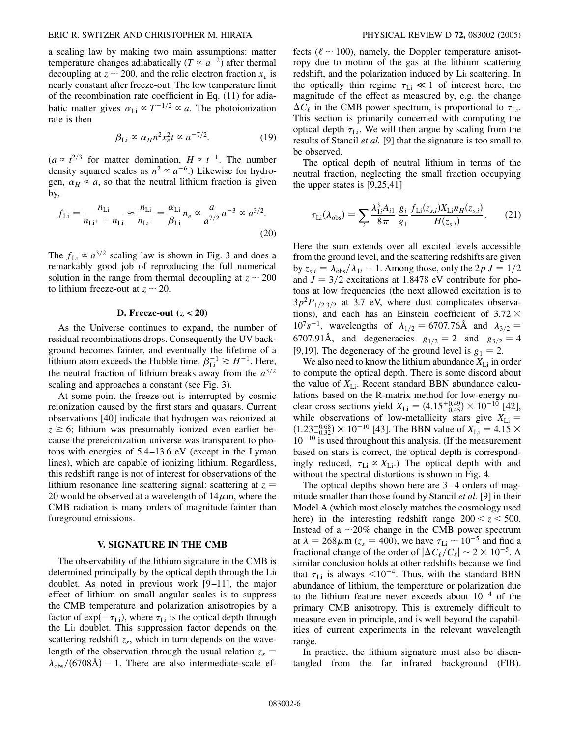#### ERIC R. SWITZER AND CHRISTOPHER M. HIRATA PHYSICAL REVIEW D **72,** 083002 (2005)

a scaling law by making two main assumptions: matter temperature changes adiabatically  $(T \propto a^{-2})$  after thermal decoupling at  $z \sim 200$ , and the relic electron fraction  $x_e$  is nearly constant after freeze-out. The low temperature limit of the recombination rate coefficient in Eq. (11) for adiabatic matter gives  $\alpha_{Li} \propto T^{-1/2} \propto a$ . The photoionization rate is then

$$
\beta_{\text{Li}} \propto \alpha_H n^2 x_e^2 t \propto a^{-7/2}.
$$
 (19)

 $(a \propto t^{2/3}$  for matter domination,  $H \propto t^{-1}$ . The number density squared scales as  $n^2 \propto a^{-6}$ .) Likewise for hydrogen,  $\alpha_H \propto a$ , so that the neutral lithium fraction is given by,

$$
f_{\rm Li} = \frac{n_{\rm Li}}{n_{\rm Li} + n_{\rm Li}} \approx \frac{n_{\rm Li}}{n_{\rm Li} + n_{\rm Li}} = \frac{\alpha_{\rm Li}}{\beta_{\rm Li}} n_e \propto \frac{a}{a^{7/2}} a^{-3} \propto a^{3/2}.
$$
\n(20)

The  $f_{\text{Li}} \propto a^{3/2}$  scaling law is shown in Fig. 3 and does a remarkably good job of reproducing the full numerical solution in the range from thermal decoupling at  $z \sim 200$ to lithium freeze-out at  $z \sim 20$ .

## **D. Freeze-out (***z <* **20)**

As the Universe continues to expand, the number of residual recombinations drops. Consequently the UV background becomes fainter, and eventually the lifetime of a lithium atom exceeds the Hubble time,  $\beta_{\text{Li}}^{-1} \gtrsim H^{-1}$ . Here, the neutral fraction of lithium breaks away from the  $a^{3/2}$ scaling and approaches a constant (see Fig. 3).

At some point the freeze-out is interrupted by cosmic reionization caused by the first stars and quasars. Current observations [40] indicate that hydrogen was reionized at  $z \geq 6$ ; lithium was presumably ionized even earlier because the prereionization universe was transparent to photons with energies of 5.4 –13.6 eV (except in the Lyman lines), which are capable of ionizing lithium. Regardless, this redshift range is not of interest for observations of the lithium resonance line scattering signal: scattering at  $z =$ 20 would be observed at a wavelength of  $14\mu$ m, where the CMB radiation is many orders of magnitude fainter than foreground emissions.

#### **V. SIGNATURE IN THE CMB**

The observability of the lithium signature in the CMB is determined principally by the optical depth through the Lin doublet. As noted in previous work [9–11], the major effect of lithium on small angular scales is to suppress the CMB temperature and polarization anisotropies by a factor of  $\exp(-\tau_{\text{Li}})$ , where  $\tau_{\text{Li}}$  is the optical depth through the Li<sub>I</sub> doublet. This suppression factor depends on the scattering redshift  $z_s$ , which in turn depends on the wavelength of the observation through the usual relation  $z_s$  $\lambda_{\rm obs}/(6708\text{\AA}) - 1$ . There are also intermediate-scale effects ( $\ell \sim 100$ ), namely, the Doppler temperature anisotropy due to motion of the gas at the lithium scattering redshift, and the polarization induced by Li<sub>I</sub> scattering. In the optically thin regime  $\tau_{Li} \ll 1$  of interest here, the magnitude of the effect as measured by, e.g. the change  $\Delta C_{\ell}$  in the CMB power spectrum, is proportional to  $\tau_{\text{Li}}$ . This section is primarily concerned with computing the optical depth  $\tau_{Li}$ . We will then argue by scaling from the results of Stancil *et al.* [9] that the signature is too small to be observed.

The optical depth of neutral lithium in terms of the neutral fraction, neglecting the small fraction occupying the upper states is [9,25,41]

$$
\tau_{\rm Li}(\lambda_{\rm obs}) = \sum_{i} \frac{\lambda_{1i}^3 A_{i1}}{8\pi} \frac{g_i}{g_1} \frac{f_{\rm Li}(z_{s,i}) X_{\rm Li} n_H(z_{s,i})}{H(z_{s,i})}.
$$
(21)

Here the sum extends over all excited levels accessible from the ground level, and the scattering redshifts are given by  $z_{s,i} = \lambda_{obs}/\lambda_{1i} - 1$ . Among those, only the  $2p J = 1/2$ and  $J = 3/2$  excitations at 1.8478 eV contribute for photons at low frequencies (the next allowed excitation is to  $3p^2P_{1/2,3/2}$  at 3.7 eV, where dust complicates observations), and each has an Einstein coefficient of  $3.72 \times$  $10^{7} s^{-1}$ , wavelengths of  $\lambda_{1/2} = 6707.76 \text{\AA}$  and  $\lambda_{3/2} =$ 6707.91Å, and degeneracies  $g_{1/2} = 2$  and  $g_{3/2} = 4$ [9,19]. The degeneracy of the ground level is  $g_1 = 2$ .

We also need to know the lithium abundance  $X_{\text{Li}}$  in order to compute the optical depth. There is some discord about the value of  $X_{Li}$ . Recent standard BBN abundance calculations based on the R-matrix method for low-energy nuclear cross sections yield  $X_{Li} = (4.15^{+0.49}_{-0.45}) \times 10^{-10}$  [42], while observations of low-metallicity stars give  $X_{Li}$  =  $(1.23^{+0.68}_{-0.32}) \times 10^{-10}$  [43]. The BBN value of  $X_{\text{Li}} = 4.15 \times$  $10^{-10}$  is used throughout this analysis. (If the measurement based on stars is correct, the optical depth is correspondingly reduced,  $\tau_{Li} \propto X_{Li}$ .) The optical depth with and without the spectral distortions is shown in Fig. 4.

The optical depths shown here are 3–4 orders of magnitude smaller than those found by Stancil *et al.* [9] in their Model A (which most closely matches the cosmology used here) in the interesting redshift range  $200 < z < 500$ . Instead of a  $\sim$  20% change in the CMB power spectrum at  $\lambda = 268 \mu \text{m}$  ( $z_s = 400$ ), we have  $\tau_{\text{Li}} \sim 10^{-5}$  and find a fractional change of the order of  $|\Delta C_{\ell}/C_{\ell}| \sim 2 \times 10^{-5}$ . A similar conclusion holds at other redshifts because we find that  $\tau_{Li}$  is always  $\leq 10^{-4}$ . Thus, with the standard BBN abundance of lithium, the temperature or polarization due to the lithium feature never exceeds about  $10^{-4}$  of the primary CMB anisotropy. This is extremely difficult to measure even in principle, and is well beyond the capabilities of current experiments in the relevant wavelength range.

In practice, the lithium signature must also be disentangled from the far infrared background (FIB).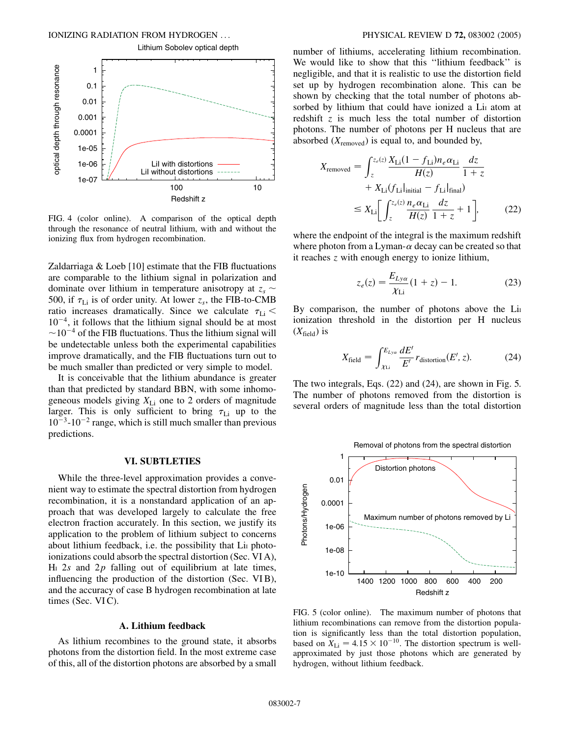

FIG. 4 (color online). A comparison of the optical depth through the resonance of neutral lithium, with and without the ionizing flux from hydrogen recombination.

Zaldarriaga & Loeb [10] estimate that the FIB fluctuations are comparable to the lithium signal in polarization and dominate over lithium in temperature anisotropy at  $z_s \sim$ 500, if  $\tau_{Li}$  is of order unity. At lower  $z_s$ , the FIB-to-CMB ratio increases dramatically. Since we calculate  $\tau_{Li}$  <  $10^{-4}$ , it follows that the lithium signal should be at most  $\sim$ 10<sup>-4</sup> of the FIB fluctuations. Thus the lithium signal will be undetectable unless both the experimental capabilities improve dramatically, and the FIB fluctuations turn out to be much smaller than predicted or very simple to model.

It is conceivable that the lithium abundance is greater than that predicted by standard BBN, with some inhomogeneous models giving  $X_{Li}$  one to 2 orders of magnitude larger. This is only sufficient to bring  $\tau_{Li}$  up to the  $10^{-3}$ - $10^{-2}$  range, which is still much smaller than previous predictions.

# **VI. SUBTLETIES**

While the three-level approximation provides a convenient way to estimate the spectral distortion from hydrogen recombination, it is a nonstandard application of an approach that was developed largely to calculate the free electron fraction accurately. In this section, we justify its application to the problem of lithium subject to concerns about lithium feedback, i.e. the possibility that Li<sub>I</sub> photoionizations could absorb the spectral distortion (Sec. VI A),  $H<sub>I</sub>$  2*s* and 2*p* falling out of equilibrium at late times, influencing the production of the distortion (Sec. VIB), and the accuracy of case B hydrogen recombination at late times (Sec.  $VIC$ ).

#### **A. Lithium feedback**

As lithium recombines to the ground state, it absorbs photons from the distortion field. In the most extreme case of this, all of the distortion photons are absorbed by a small number of lithiums, accelerating lithium recombination. We would like to show that this ''lithium feedback'' is negligible, and that it is realistic to use the distortion field set up by hydrogen recombination alone. This can be shown by checking that the total number of photons absorbed by lithium that could have ionized a Li<sub>I</sub> atom at redshift *z* is much less the total number of distortion photons. The number of photons per H nucleus that are absorbed  $(X_{\text{removed}})$  is equal to, and bounded by,

$$
X_{\text{removed}} = \int_{z}^{z_e(z)} \frac{X_{\text{Li}}(1 - f_{\text{Li}})n_e \alpha_{\text{Li}}}{H(z)} \frac{dz}{1 + z}
$$

$$
+ X_{\text{Li}}(f_{\text{Li}}|_{\text{initial}} - f_{\text{Li}}|_{\text{final}})
$$

$$
\leq X_{\text{Li}} \left[ \int_{z}^{z_e(z)} \frac{n_e \alpha_{\text{Li}}}{H(z)} \frac{dz}{1 + z} + 1 \right], \tag{22}
$$

where the endpoint of the integral is the maximum redshift where photon from a Lyman- $\alpha$  decay can be created so that it reaches *z* with enough energy to ionize lithium,

$$
z_e(z) = \frac{E_{Ly\alpha}}{\chi_{Li}} (1 + z) - 1.
$$
 (23)

By comparison, the number of photons above the Lin ionization threshold in the distortion per H nucleus  $(X_{\text{field}})$  is

$$
X_{\text{field}} = \int_{\chi_{\text{Li}}}^{E_{Lya}} \frac{dE'}{E'} r_{\text{distortion}}(E', z). \tag{24}
$$

The two integrals, Eqs. (22) and (24), are shown in Fig. 5. The number of photons removed from the distortion is several orders of magnitude less than the total distortion



FIG. 5 (color online). The maximum number of photons that lithium recombinations can remove from the distortion population is significantly less than the total distortion population, based on  $X_{Li} = 4.15 \times 10^{-10}$ . The distortion spectrum is wellapproximated by just those photons which are generated by hydrogen, without lithium feedback.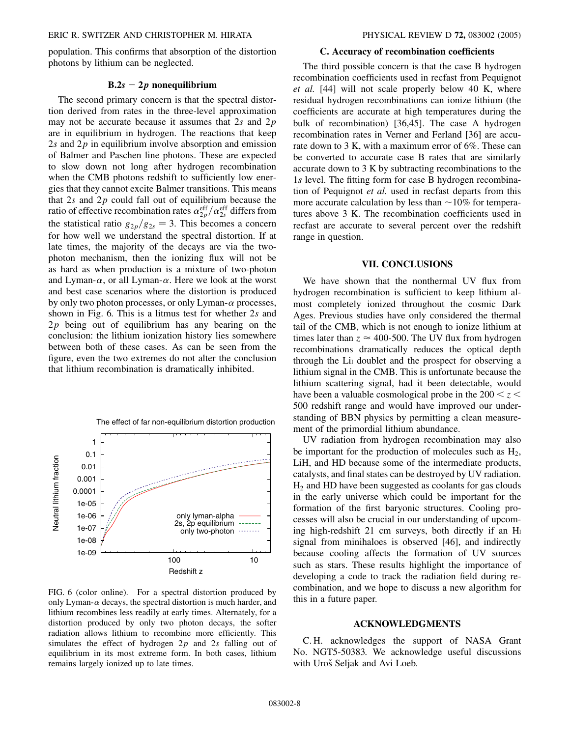population. This confirms that absorption of the distortion photons by lithium can be neglected.

# **B.2***s* - **2***p* **nonequilibrium**

The second primary concern is that the spectral distortion derived from rates in the three-level approximation may not be accurate because it assumes that 2*s* and 2*p* are in equilibrium in hydrogen. The reactions that keep 2*s* and 2*p* in equilibrium involve absorption and emission of Balmer and Paschen line photons. These are expected to slow down not long after hydrogen recombination when the CMB photons redshift to sufficiently low energies that they cannot excite Balmer transitions. This means that 2*s* and 2*p* could fall out of equilibrium because the ratio of effective recombination rates  $\alpha_{2p}^{\text{eff}}/\alpha_{2s}^{\text{eff}}$  differs from the statistical ratio  $g_{2p}/g_{2s} = 3$ . This becomes a concern for how well we understand the spectral distortion. If at late times, the majority of the decays are via the twophoton mechanism, then the ionizing flux will not be as hard as when production is a mixture of two-photon and Lyman- $\alpha$ , or all Lyman- $\alpha$ . Here we look at the worst and best case scenarios where the distortion is produced by only two photon processes, or only Lyman- $\alpha$  processes, shown in Fig. 6. This is a litmus test for whether 2*s* and 2*p* being out of equilibrium has any bearing on the conclusion: the lithium ionization history lies somewhere between both of these cases. As can be seen from the figure, even the two extremes do not alter the conclusion that lithium recombination is dramatically inhibited.



FIG. 6 (color online). For a spectral distortion produced by only Lyman- $\alpha$  decays, the spectral distortion is much harder, and lithium recombines less readily at early times. Alternately, for a distortion produced by only two photon decays, the softer radiation allows lithium to recombine more efficiently. This simulates the effect of hydrogen 2*p* and 2*s* falling out of equilibrium in its most extreme form. In both cases, lithium remains largely ionized up to late times.

### **C. Accuracy of recombination coefficients**

The third possible concern is that the case B hydrogen recombination coefficients used in recfast from Pequignot *et al.* [44] will not scale properly below 40 K, where residual hydrogen recombinations can ionize lithium (the coefficients are accurate at high temperatures during the bulk of recombination) [36,45]. The case A hydrogen recombination rates in Verner and Ferland [36] are accurate down to 3 K, with a maximum error of 6%. These can be converted to accurate case B rates that are similarly accurate down to 3 K by subtracting recombinations to the 1*s* level. The fitting form for case B hydrogen recombination of Pequignot *et al.* used in recfast departs from this more accurate calculation by less than  $\sim$  10% for temperatures above 3 K. The recombination coefficients used in recfast are accurate to several percent over the redshift range in question.

#### **VII. CONCLUSIONS**

We have shown that the nonthermal UV flux from hydrogen recombination is sufficient to keep lithium almost completely ionized throughout the cosmic Dark Ages. Previous studies have only considered the thermal tail of the CMB, which is not enough to ionize lithium at times later than  $z \approx 400$ -500. The UV flux from hydrogen recombinations dramatically reduces the optical depth through the Li<sub>I</sub> doublet and the prospect for observing a lithium signal in the CMB. This is unfortunate because the lithium scattering signal, had it been detectable, would have been a valuable cosmological probe in the  $200 < z <$ 500 redshift range and would have improved our understanding of BBN physics by permitting a clean measurement of the primordial lithium abundance.

UV radiation from hydrogen recombination may also be important for the production of molecules such as  $H_2$ , LiH, and HD because some of the intermediate products, catalysts, and final states can be destroyed by UV radiation.  $H<sub>2</sub>$  and HD have been suggested as coolants for gas clouds in the early universe which could be important for the formation of the first baryonic structures. Cooling processes will also be crucial in our understanding of upcoming high-redshift 21 cm surveys, both directly if an H<sub>I</sub> signal from minihaloes is observed [46], and indirectly because cooling affects the formation of UV sources such as stars. These results highlight the importance of developing a code to track the radiation field during recombination, and we hope to discuss a new algorithm for this in a future paper.

## **ACKNOWLEDGMENTS**

C. H. acknowledges the support of NASA Grant No. NGT5-50383. We acknowledge useful discussions with Uroš Seljak and Avi Loeb.